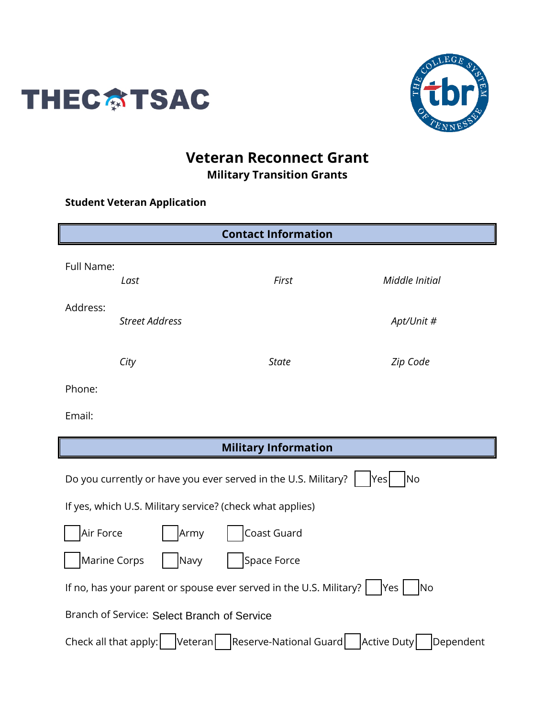



## **Veteran Reconnect Grant**

**Military Transition Grants**

## **Student Veteran Application**

| <b>Contact Information</b>                                                                |                       |              |                |
|-------------------------------------------------------------------------------------------|-----------------------|--------------|----------------|
| Full Name:                                                                                | Last                  | First        | Middle Initial |
| Address:                                                                                  | <b>Street Address</b> |              | Apt/Unit #     |
|                                                                                           | City                  | <b>State</b> | Zip Code       |
| Phone:                                                                                    |                       |              |                |
| Email:                                                                                    |                       |              |                |
| <b>Military Information</b>                                                               |                       |              |                |
| Do you currently or have you ever served in the U.S. Military?<br> Yes <br>No             |                       |              |                |
| If yes, which U.S. Military service? (check what applies)                                 |                       |              |                |
| Air Force<br>Coast Guard<br>Army                                                          |                       |              |                |
| <b>Marine Corps</b><br>Space Force<br>Navy                                                |                       |              |                |
| If no, has your parent or spouse ever served in the U.S. Military?  <br> Yes<br><b>No</b> |                       |              |                |
| Branch of Service: Select Branch of Service                                               |                       |              |                |
| Active Duty<br>Veteran<br>Reserve-National Guard<br>Dependent<br>Check all that apply:    |                       |              |                |